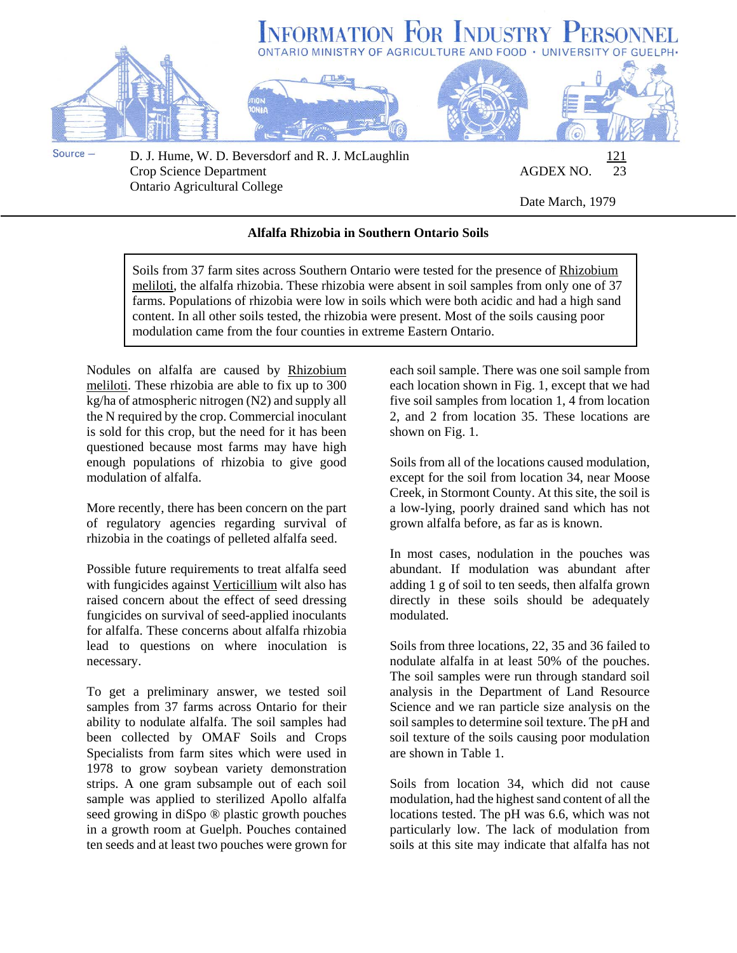

Ontario Agricultural College

Date March, 1979

## **Alfalfa Rhizobia in Southern Ontario Soils**

Soils from 37 farm sites across Southern Ontario were tested for the presence of Rhizobium meliloti, the alfalfa rhizobia. These rhizobia were absent in soil samples from only one of 37 farms. Populations of rhizobia were low in soils which were both acidic and had a high sand content. In all other soils tested, the rhizobia were present. Most of the soils causing poor modulation came from the four counties in extreme Eastern Ontario.

Nodules on alfalfa are caused by Rhizobium meliloti. These rhizobia are able to fix up to 300 kg/ha of atmospheric nitrogen (N2) and supply all the N required by the crop. Commercial inoculant is sold for this crop, but the need for it has been questioned because most farms may have high enough populations of rhizobia to give good modulation of alfalfa.

More recently, there has been concern on the part of regulatory agencies regarding survival of rhizobia in the coatings of pelleted alfalfa seed.

Possible future requirements to treat alfalfa seed with fungicides against Verticillium wilt also has raised concern about the effect of seed dressing fungicides on survival of seed-applied inoculants for alfalfa. These concerns about alfalfa rhizobia lead to questions on where inoculation is necessary.

To get a preliminary answer, we tested soil samples from 37 farms across Ontario for their ability to nodulate alfalfa. The soil samples had been collected by OMAF Soils and Crops Specialists from farm sites which were used in 1978 to grow soybean variety demonstration strips. A one gram subsample out of each soil sample was applied to sterilized Apollo alfalfa seed growing in diSpo ® plastic growth pouches in a growth room at Guelph. Pouches contained ten seeds and at least two pouches were grown for

each soil sample. There was one soil sample from each location shown in Fig. 1, except that we had five soil samples from location 1, 4 from location 2, and 2 from location 35. These locations are shown on Fig. 1.

Soils from all of the locations caused modulation, except for the soil from location 34, near Moose Creek, in Stormont County. At this site, the soil is a low-lying, poorly drained sand which has not grown alfalfa before, as far as is known.

In most cases, nodulation in the pouches was abundant. If modulation was abundant after adding 1 g of soil to ten seeds, then alfalfa grown directly in these soils should be adequately modulated.

Soils from three locations, 22, 35 and 36 failed to nodulate alfalfa in at least 50% of the pouches. The soil samples were run through standard soil analysis in the Department of Land Resource Science and we ran particle size analysis on the soil samples to determine soil texture. The pH and soil texture of the soils causing poor modulation are shown in Table 1.

Soils from location 34, which did not cause modulation, had the highest sand content of all the locations tested. The pH was 6.6, which was not particularly low. The lack of modulation from soils at this site may indicate that alfalfa has not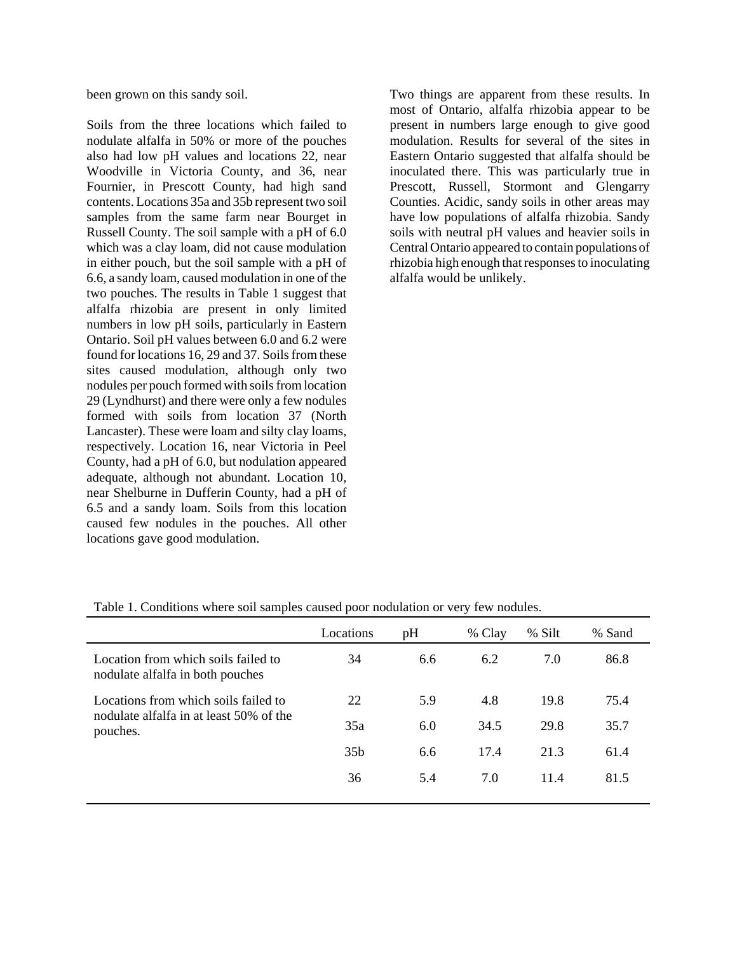been grown on this sandy soil.

Soils from the three locations which failed to nodulate alfalfa in 50% or more of the pouches also had low pH values and locations 22, near Woodville in Victoria County, and 36, near Fournier, in Prescott County, had high sand contents. Locations 35a and 35b represent two soil samples from the same farm near Bourget in Russell County. The soil sample with a pH of 6.0 which was a clay loam, did not cause modulation in either pouch, but the soil sample with a pH of 6.6, a sandy loam, caused modulation in one of the two pouches. The results in Table 1 suggest that alfalfa rhizobia are present in only limited numbers in low pH soils, particularly in Eastern Ontario. Soil pH values between 6.0 and 6.2 were found for locations 16, 29 and 37. Soils from these sites caused modulation, although only two nodules per pouch formed with soils from location 29 (Lyndhurst) and there were only a few nodules formed with soils from location 37 (North Lancaster). These were loam and silty clay loams, respectively. Location 16, near Victoria in Peel County, had a pH of 6.0, but nodulation appeared adequate, although not abundant. Location 10, near Shelburne in Dufferin County, had a pH of 6.5 and a sandy loam. Soils from this location caused few nodules in the pouches. All other locations gave good modulation.

Two things are apparent from these results. In most of Ontario, alfalfa rhizobia appear to be present in numbers large enough to give good modulation. Results for several of the sites in Eastern Ontario suggested that alfalfa should be inoculated there. This was particularly true in Prescott, Russell, Stormont and Glengarry Counties. Acidic, sandy soils in other areas may have low populations of alfalfa rhizobia. Sandy soils with neutral pH values and heavier soils in Central Ontario appeared to contain populations of rhizobia high enough that responses to inoculating alfalfa would be unlikely.

|                                                                                             | Locations       | pH  | % Clay | % Silt | % Sand |
|---------------------------------------------------------------------------------------------|-----------------|-----|--------|--------|--------|
| Location from which soils failed to<br>nodulate alfalfa in both pouches                     | 34              | 6.6 | 6.2    | 7.0    | 86.8   |
| Locations from which soils failed to<br>nodulate alfalfa in at least 50% of the<br>pouches. | 22              | 5.9 | 4.8    | 19.8   | 75.4   |
|                                                                                             | 35a             | 6.0 | 34.5   | 29.8   | 35.7   |
|                                                                                             | 35 <sub>b</sub> | 6.6 | 17.4   | 21.3   | 61.4   |
|                                                                                             | 36              | 5.4 | 7.0    | 11.4   | 81.5   |
|                                                                                             |                 |     |        |        |        |

Table 1. Conditions where soil samples caused poor nodulation or very few nodules.